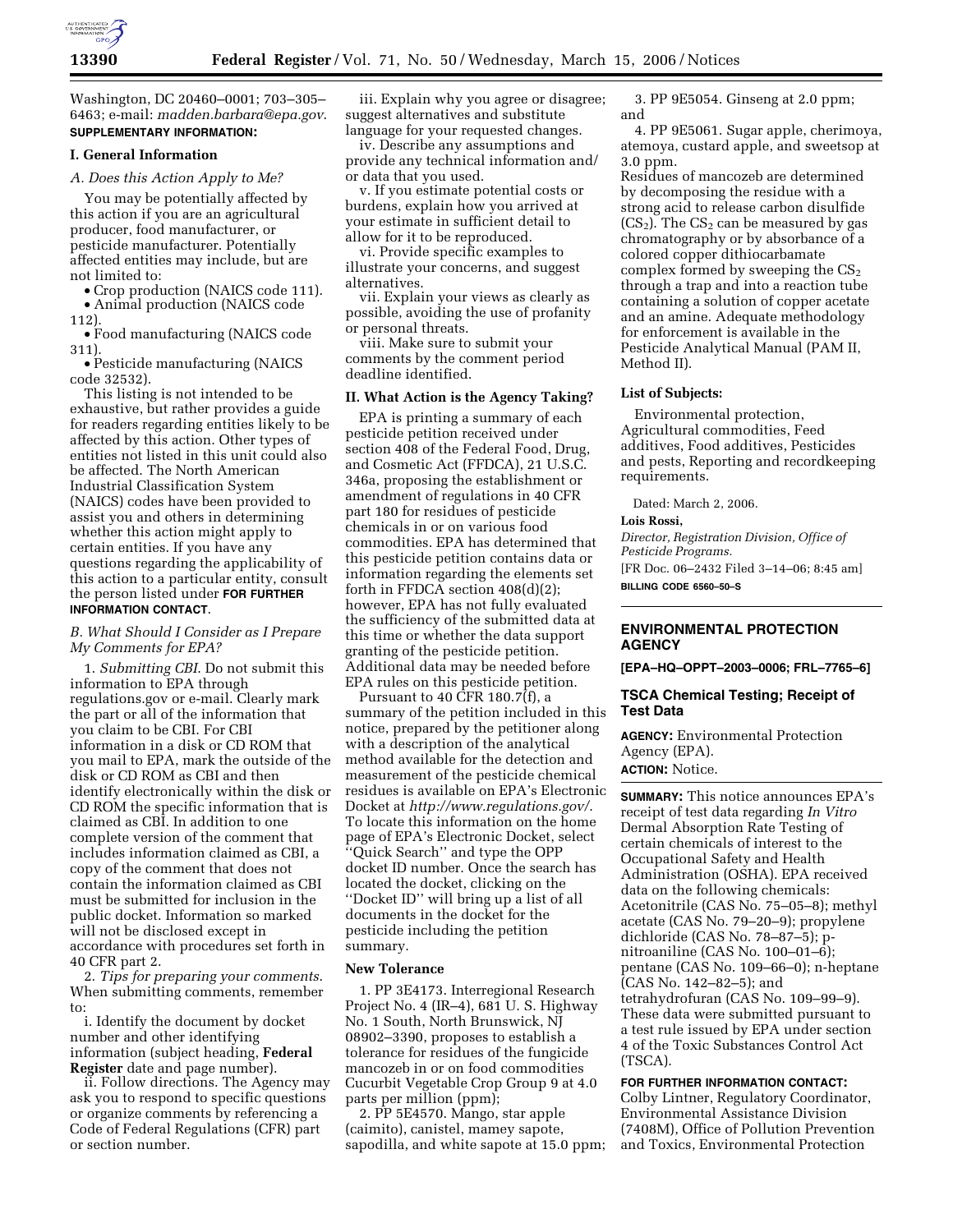

Washington, DC 20460–0001; 703–305– 6463; e-mail: *madden.barbara@epa.gov*. **SUPPLEMENTARY INFORMATION:** 

### **I. General Information**

*A. Does this Action Apply to Me?* 

You may be potentially affected by this action if you are an agricultural producer, food manufacturer, or pesticide manufacturer. Potentially affected entities may include, but are not limited to:

• Crop production (NAICS code 111).

• Animal production (NAICS code 112).

• Food manufacturing (NAICS code 311).

• Pesticide manufacturing (NAICS code 32532).

This listing is not intended to be exhaustive, but rather provides a guide for readers regarding entities likely to be affected by this action. Other types of entities not listed in this unit could also be affected. The North American Industrial Classification System (NAICS) codes have been provided to assist you and others in determining whether this action might apply to certain entities. If you have any questions regarding the applicability of this action to a particular entity, consult the person listed under **FOR FURTHER INFORMATION CONTACT**.

## *B. What Should I Consider as I Prepare My Comments for EPA?*

1. *Submitting CBI*. Do not submit this information to EPA through regulations.gov or e-mail. Clearly mark the part or all of the information that you claim to be CBI. For CBI information in a disk or CD ROM that you mail to EPA, mark the outside of the disk or CD ROM as CBI and then identify electronically within the disk or CD ROM the specific information that is claimed as CBI. In addition to one complete version of the comment that includes information claimed as CBI, a copy of the comment that does not contain the information claimed as CBI must be submitted for inclusion in the public docket. Information so marked will not be disclosed except in accordance with procedures set forth in 40 CFR part 2.

2. *Tips for preparing your comments*. When submitting comments, remember to:

i. Identify the document by docket number and other identifying information (subject heading, **Federal Register** date and page number).

ii. Follow directions. The Agency may ask you to respond to specific questions or organize comments by referencing a Code of Federal Regulations (CFR) part or section number.

iii. Explain why you agree or disagree; suggest alternatives and substitute language for your requested changes.

iv. Describe any assumptions and provide any technical information and/ or data that you used.

v. If you estimate potential costs or burdens, explain how you arrived at your estimate in sufficient detail to allow for it to be reproduced.

vi. Provide specific examples to illustrate your concerns, and suggest alternatives.

vii. Explain your views as clearly as possible, avoiding the use of profanity or personal threats.

viii. Make sure to submit your comments by the comment period deadline identified.

## **II. What Action is the Agency Taking?**

EPA is printing a summary of each pesticide petition received under section 408 of the Federal Food, Drug, and Cosmetic Act (FFDCA), 21 U.S.C. 346a, proposing the establishment or amendment of regulations in 40 CFR part 180 for residues of pesticide chemicals in or on various food commodities. EPA has determined that this pesticide petition contains data or information regarding the elements set forth in FFDCA section 408(d)(2); however, EPA has not fully evaluated the sufficiency of the submitted data at this time or whether the data support granting of the pesticide petition. Additional data may be needed before EPA rules on this pesticide petition.

Pursuant to 40 CFR 180.7(f), a summary of the petition included in this notice, prepared by the petitioner along with a description of the analytical method available for the detection and measurement of the pesticide chemical residues is available on EPA's Electronic Docket at *http://www.regulations.gov/*. To locate this information on the home page of EPA's Electronic Docket, select ''Quick Search'' and type the OPP docket ID number. Once the search has located the docket, clicking on the ''Docket ID'' will bring up a list of all documents in the docket for the pesticide including the petition summary.

#### **New Tolerance**

1. PP 3E4173. Interregional Research Project No. 4 (IR–4), 681 U. S. Highway No. 1 South, North Brunswick, NJ 08902–3390, proposes to establish a tolerance for residues of the fungicide mancozeb in or on food commodities Cucurbit Vegetable Crop Group 9 at 4.0 parts per million (ppm);

2. PP 5E4570. Mango, star apple (caimito), canistel, mamey sapote, sapodilla, and white sapote at 15.0 ppm;

3. PP 9E5054. Ginseng at 2.0 ppm; and

4. PP 9E5061. Sugar apple, cherimoya, atemoya, custard apple, and sweetsop at 3.0 ppm.

Residues of mancozeb are determined by decomposing the residue with a strong acid to release carbon disulfide  $(CS<sub>2</sub>)$ . The  $CS<sub>2</sub>$  can be measured by gas chromatography or by absorbance of a colored copper dithiocarbamate complex formed by sweeping the  $CS<sub>2</sub>$ through a trap and into a reaction tube containing a solution of copper acetate and an amine. Adequate methodology for enforcement is available in the Pesticide Analytical Manual (PAM II, Method II).

#### **List of Subjects:**

Environmental protection, Agricultural commodities, Feed additives, Food additives, Pesticides and pests, Reporting and recordkeeping requirements.

Dated: March 2, 2006.

#### **Lois Rossi,**

*Director, Registration Division, Office of Pesticide Programs.*  [FR Doc. 06–2432 Filed 3–14–06; 8:45 am] **BILLING CODE 6560–50–S** 

# **ENVIRONMENTAL PROTECTION AGENCY**

**[EPA–HQ–OPPT–2003–0006; FRL–7765–6]** 

## **TSCA Chemical Testing; Receipt of Test Data**

**AGENCY:** Environmental Protection Agency (EPA). **ACTION:** Notice.

**SUMMARY:** This notice announces EPA's receipt of test data regarding *In Vitro*  Dermal Absorption Rate Testing of certain chemicals of interest to the Occupational Safety and Health Administration (OSHA). EPA received data on the following chemicals: Acetonitrile (CAS No. 75–05–8); methyl acetate (CAS No. 79–20–9); propylene dichloride (CAS No. 78–87–5); pnitroaniline (CAS No. 100–01–6); pentane (CAS No. 109–66–0); n-heptane (CAS No. 142–82–5); and tetrahydrofuran (CAS No. 109–99–9). These data were submitted pursuant to a test rule issued by EPA under section 4 of the Toxic Substances Control Act (TSCA).

#### **FOR FURTHER INFORMATION CONTACT:**

Colby Lintner, Regulatory Coordinator, Environmental Assistance Division (7408M), Office of Pollution Prevention and Toxics, Environmental Protection